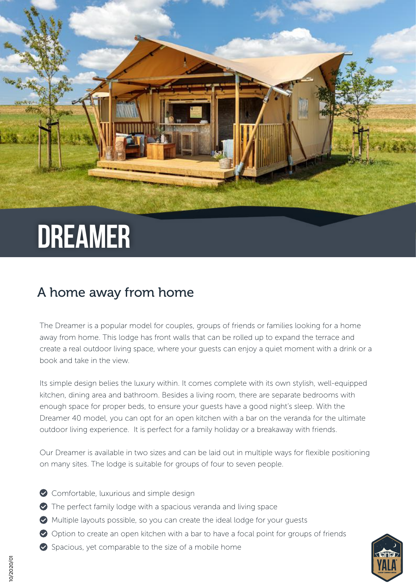# **DREAMER**

### A home away from home

The Dreamer is a popular model for couples, groups of friends or families looking for a home away from home. This lodge has front walls that can be rolled up to expand the terrace and create a real outdoor living space, where your guests can enjoy a quiet moment with a drink or a book and take in the view.

Its simple design belies the luxury within. It comes complete with its own stylish, well-equipped kitchen, dining area and bathroom. Besides a living room, there are separate bedrooms with enough space for proper beds, to ensure your guests have a good night's sleep. With the Dreamer 40 model, you can opt for an open kitchen with a bar on the veranda for the ultimate outdoor living experience. It is perfect for a family holiday or a breakaway with friends.

Our Dreamer is available in two sizes and can be laid out in multiple ways for flexible positioning on many sites. The lodge is suitable for groups of four to seven people.

- Comfortable, luxurious and simple design
- The perfect family lodge with a spacious veranda and living space
- Multiple layouts possible, so you can create the ideal lodge for your guests
- Option to create an open kitchen with a bar to have a focal point for groups of friends
- $\bullet$  Spacious, yet comparable to the size of a mobile home

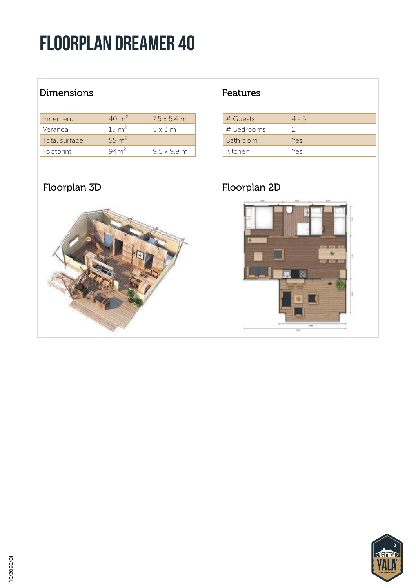## Floorplan dreamer 40

### Dimensions **Features**

| Inner tent    | $40 \text{ m}^2$ | $7.5 \times 5.4$ m |
|---------------|------------------|--------------------|
| Veranda       | $15 \text{ m}^2$ | $5 \times 3$ m     |
| Total surface | 55 $m^2$         |                    |
| Footprint     | $94m^2$          | 95x99m             |



| # Guests   | $4 - 5$ |
|------------|---------|
| # Bedrooms |         |
| Bathroom   | Yes     |
| Kitchen    | Yes     |

#### Floorplan 3D Floorplan 2D



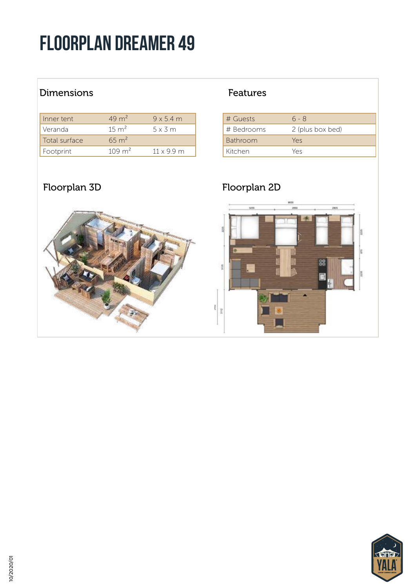## Floorplan dreamer 49

### Dimensions **Features**

| Inner tent    | $49 \text{ m}^2$  | $9 \times 5.4$ m |
|---------------|-------------------|------------------|
| Veranda       | $15 \text{ m}^2$  | $5 \times 3$ m   |
| Total surface | $65 \text{ m}^2$  |                  |
| Footprint     | $109 \text{ m}^2$ | $11 \times 99$ m |

| # Guests        | $6 - 8$          |
|-----------------|------------------|
| # Bedrooms      | 2 (plus box bed) |
| <b>Bathroom</b> | Yes              |
| Kitchen         | Yρς              |

### Floorplan 3D Floorplan 2D



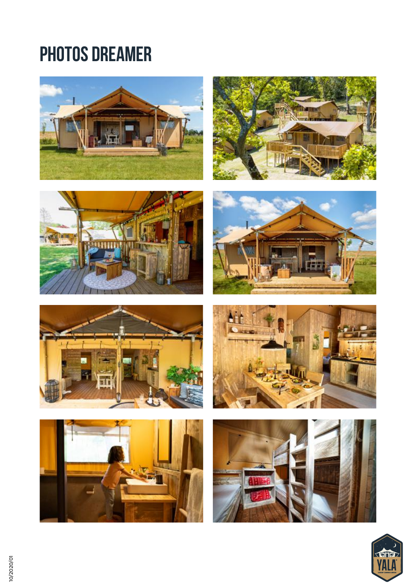## PHOTOS DREAMER